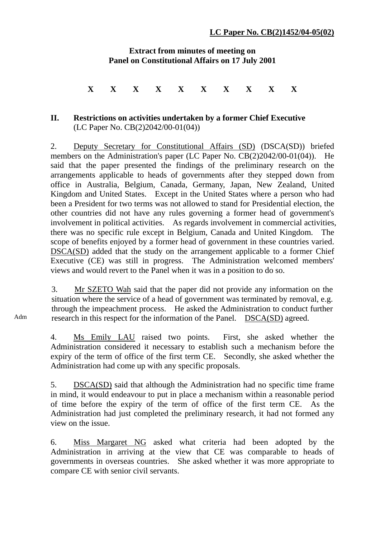## **Extract from minutes of meeting on Panel on Constitutional Affairs on 17 July 2001**

**X X X X X X X X X X** 

## **II. Restrictions on activities undertaken by a former Chief Executive**  (LC Paper No. CB(2)2042/00-01(04))

2. Deputy Secretary for Constitutional Affairs (SD) (DSCA(SD)) briefed members on the Administration's paper (LC Paper No. CB(2)2042/00-01(04)). He said that the paper presented the findings of the preliminary research on the arrangements applicable to heads of governments after they stepped down from office in Australia, Belgium, Canada, Germany, Japan, New Zealand, United Kingdom and United States. Except in the United States where a person who had been a President for two terms was not allowed to stand for Presidential election, the other countries did not have any rules governing a former head of government's involvement in political activities. As regards involvement in commercial activities, there was no specific rule except in Belgium, Canada and United Kingdom. The scope of benefits enjoyed by a former head of government in these countries varied. DSCA(SD) added that the study on the arrangement applicable to a former Chief Executive (CE) was still in progress. The Administration welcomed members' views and would revert to the Panel when it was in a position to do so.

3. Mr SZETO Wah said that the paper did not provide any information on the situation where the service of a head of government was terminated by removal, e.g. through the impeachment process. He asked the Administration to conduct further research in this respect for the information of the Panel. DSCA(SD) agreed.

4. Ms Emily LAU raised two points. First, she asked whether the Administration considered it necessary to establish such a mechanism before the expiry of the term of office of the first term CE. Secondly, she asked whether the Administration had come up with any specific proposals.

5. DSCA(SD) said that although the Administration had no specific time frame in mind, it would endeavour to put in place a mechanism within a reasonable period of time before the expiry of the term of office of the first term CE. As the Administration had just completed the preliminary research, it had not formed any view on the issue.

6. Miss Margaret NG asked what criteria had been adopted by the Administration in arriving at the view that CE was comparable to heads of governments in overseas countries. She asked whether it was more appropriate to compare CE with senior civil servants.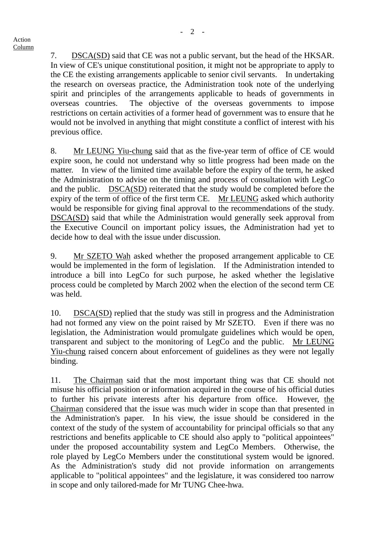7. DSCA(SD) said that CE was not a public servant, but the head of the HKSAR. In view of CE's unique constitutional position, it might not be appropriate to apply to the CE the existing arrangements applicable to senior civil servants. In undertaking the research on overseas practice, the Administration took note of the underlying spirit and principles of the arrangements applicable to heads of governments in overseas countries. The objective of the overseas governments to impose restrictions on certain activities of a former head of government was to ensure that he would not be involved in anything that might constitute a conflict of interest with his previous office.

8. Mr LEUNG Yiu-chung said that as the five-year term of office of CE would expire soon, he could not understand why so little progress had been made on the matter. In view of the limited time available before the expiry of the term, he asked the Administration to advise on the timing and process of consultation with LegCo and the public. DSCA(SD) reiterated that the study would be completed before the expiry of the term of office of the first term CE. Mr LEUNG asked which authority would be responsible for giving final approval to the recommendations of the study. DSCA(SD) said that while the Administration would generally seek approval from the Executive Council on important policy issues, the Administration had yet to decide how to deal with the issue under discussion.

9. Mr SZETO Wah asked whether the proposed arrangement applicable to CE would be implemented in the form of legislation. If the Administration intended to introduce a bill into LegCo for such purpose, he asked whether the legislative process could be completed by March 2002 when the election of the second term CE was held.

10. DSCA(SD) replied that the study was still in progress and the Administration had not formed any view on the point raised by Mr SZETO. Even if there was no legislation, the Administration would promulgate guidelines which would be open, transparent and subject to the monitoring of LegCo and the public. Mr LEUNG Yiu-chung raised concern about enforcement of guidelines as they were not legally binding.

11. The Chairman said that the most important thing was that CE should not misuse his official position or information acquired in the course of his official duties to further his private interests after his departure from office. However, the Chairman considered that the issue was much wider in scope than that presented in the Administration's paper. In his view, the issue should be considered in the context of the study of the system of accountability for principal officials so that any restrictions and benefits applicable to CE should also apply to "political appointees" under the proposed accountability system and LegCo Members. Otherwise, the role played by LegCo Members under the constitutional system would be ignored. As the Administration's study did not provide information on arrangements applicable to "political appointees" and the legislature, it was considered too narrow in scope and only tailored-made for Mr TUNG Chee-hwa.